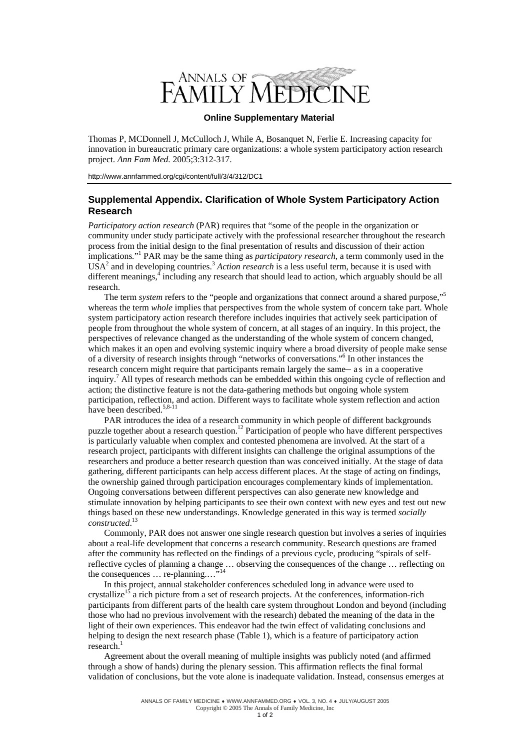

## **Online Supplementary Material**

Thomas P, MCDonnell J, McCulloch J, While A, Bosanquet N, Ferlie E. Increasing capacity for innovation in bureaucratic primary care organizations: a whole system participatory action research project. *Ann Fam Med.* 2005;3:312-317.

http://www.annfammed.org/cgi/content/full/3/4/312/DC1

## **Supplemental Appendix. Clarification of Whole System Participatory Action Research**

*Participatory action research* (PAR) requires that "some of the people in the organization or community under study participate actively with the professional researcher throughout the research process from the initial design to the final presentation of results and discussion of their action implications*.*" 1 PAR may be the same thing as *participatory research*, a term commonly used in the USA<sup>2</sup> and in developing countries.<sup>3</sup> Action research is a less useful term, because it is used with different meanings, including any research that should lead to action, which arguably should be all research.

The term *system* refers to the "people and organizations that connect around a shared purpose,"<sup>5</sup> whereas the term *whole* implies that perspectives from the whole system of concern take part. Whole system participatory action research therefore includes inquiries that actively seek participation of people from throughout the whole system of concern, at all stages of an inquiry. In this project, the perspectives of relevance changed as the understanding of the whole system of concern changed, which makes it an open and evolving systemic inquiry where a broad diversity of people make sense of a diversity of research insights through "networks of conversations."6 In other instances the research concern might require that participants remain largely the same— a s in a cooperative inquiry.<sup>7</sup> All types of research methods can be embedded within this ongoing cycle of reflection and action; the distinctive feature is not the data-gathering methods but ongoing whole system participation, reflection, and action. Different ways to facilitate whole system reflection and action have been described.<sup>5,8-11</sup>

PAR introduces the idea of a research community in which people of different backgrounds puzzle together about a research question.<sup>12</sup> Participation of people who have different perspectives is particularly valuable when complex and contested phenomena are involved. At the start of a research project, participants with different insights can challenge the original assumptions of the researchers and produce a better research question than was conceived initially. At the stage of data gathering, different participants can help access different places. At the stage of acting on findings, the ownership gained through participation encourages complementary kinds of implementation. Ongoing conversations between different perspectives can also generate new knowledge and stimulate innovation by helping participants to see their own context with new eyes and test out new things based on these new understandings. Knowledge generated in this way is termed *socially constructed*. 13

Commonly, PAR does not answer one single research question but involves a series of inquiries about a real-life development that concerns a research community. Research questions are framed after the community has reflected on the findings of a previous cycle, producing "spirals of selfreflective cycles of planning a change … observing the consequences of the change … reflecting on the consequences  $\ldots$  re-planning...."<sup>14</sup>

In this project, annual stakeholder conferences scheduled long in advance were used to crystallize<sup>15</sup> a rich picture from a set of research projects. At the conferences, information-rich participants from different parts of the health care system throughout London and beyond (including those who had no previous involvement with the research) debated the meaning of the data in the light of their own experiences. This endeavor had the twin effect of validating conclusions and helping to design the next research phase (Table 1), which is a feature of participatory action research. 1

Agreement about the overall meaning of multiple insights was publicly noted (and affirmed through a show of hands) during the plenary session. This affirmation reflects the final formal validation of conclusions, but the vote alone is inadequate validation. Instead, consensus emerges at